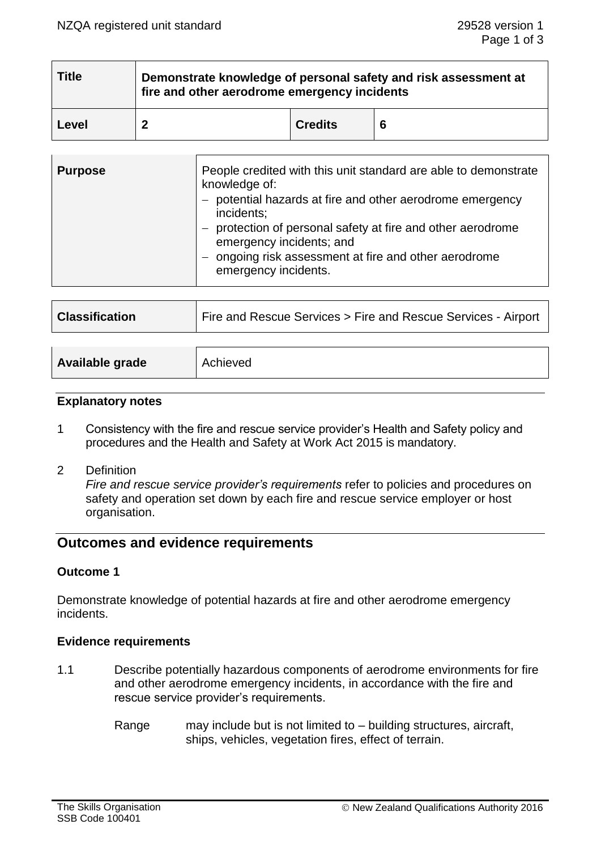| <b>Title</b> | Demonstrate knowledge of personal safety and risk assessment at<br>fire and other aerodrome emergency incidents |                |   |  |
|--------------|-----------------------------------------------------------------------------------------------------------------|----------------|---|--|
| Level        |                                                                                                                 | <b>Credits</b> | 6 |  |

| <b>Purpose</b> | People credited with this unit standard are able to demonstrate<br>knowledge of:<br>potential hazards at fire and other aerodrome emergency<br>incidents;<br>protection of personal safety at fire and other aerodrome<br>emergency incidents; and<br>ongoing risk assessment at fire and other aerodrome<br>emergency incidents. |
|----------------|-----------------------------------------------------------------------------------------------------------------------------------------------------------------------------------------------------------------------------------------------------------------------------------------------------------------------------------|
|                |                                                                                                                                                                                                                                                                                                                                   |

| <b>Classification</b> | Fire and Rescue Services > Fire and Rescue Services - Airport |  |  |
|-----------------------|---------------------------------------------------------------|--|--|
|                       |                                                               |  |  |
| Available grade       | Achieved                                                      |  |  |

### **Explanatory notes**

- 1 Consistency with the fire and rescue service provider's Health and Safety policy and procedures and the Health and Safety at Work Act 2015 is mandatory.
- 2 Definition

*Fire and rescue service provider's requirements* refer to policies and procedures on safety and operation set down by each fire and rescue service employer or host organisation.

# **Outcomes and evidence requirements**

## **Outcome 1**

Demonstrate knowledge of potential hazards at fire and other aerodrome emergency incidents.

### **Evidence requirements**

- 1.1 Describe potentially hazardous components of aerodrome environments for fire and other aerodrome emergency incidents, in accordance with the fire and rescue service provider's requirements.
	- Range may include but is not limited to building structures, aircraft, ships, vehicles, vegetation fires, effect of terrain.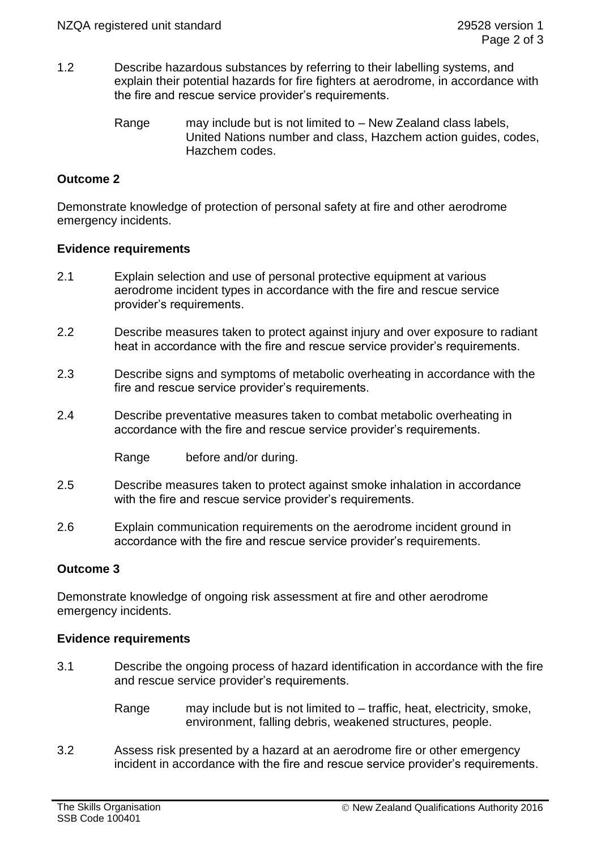- 1.2 Describe hazardous substances by referring to their labelling systems, and explain their potential hazards for fire fighters at aerodrome, in accordance with the fire and rescue service provider's requirements.
	- Range may include but is not limited to New Zealand class labels, United Nations number and class, Hazchem action guides, codes, Hazchem codes.

# **Outcome 2**

Demonstrate knowledge of protection of personal safety at fire and other aerodrome emergency incidents.

### **Evidence requirements**

- 2.1 Explain selection and use of personal protective equipment at various aerodrome incident types in accordance with the fire and rescue service provider's requirements.
- 2.2 Describe measures taken to protect against injury and over exposure to radiant heat in accordance with the fire and rescue service provider's requirements.
- 2.3 Describe signs and symptoms of metabolic overheating in accordance with the fire and rescue service provider's requirements.
- 2.4 Describe preventative measures taken to combat metabolic overheating in accordance with the fire and rescue service provider's requirements.

Range before and/or during.

- 2.5 Describe measures taken to protect against smoke inhalation in accordance with the fire and rescue service provider's requirements.
- 2.6 Explain communication requirements on the aerodrome incident ground in accordance with the fire and rescue service provider's requirements.

## **Outcome 3**

Demonstrate knowledge of ongoing risk assessment at fire and other aerodrome emergency incidents.

### **Evidence requirements**

- 3.1 Describe the ongoing process of hazard identification in accordance with the fire and rescue service provider's requirements.
	- Range may include but is not limited to traffic, heat, electricity, smoke, environment, falling debris, weakened structures, people.
- 3.2 Assess risk presented by a hazard at an aerodrome fire or other emergency incident in accordance with the fire and rescue service provider's requirements.